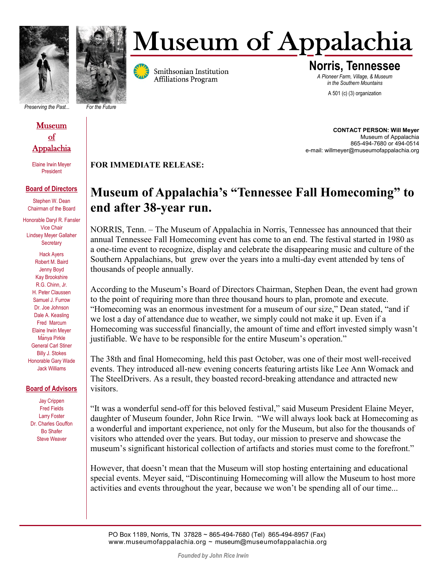

## **Museum of Appalachia**

*Preserving the Past... For the Future*

## Museum of **Appalachia**

Elaine Irwin Meyer President

## **Board of Directors**

Stephen W. Dean Chairman of the Board

Honorable Daryl R. Fansler Vice Chair Lindsey Meyer Gallaher **Secretary** 

.. Elaine Irwin Meyer Hack Ayers Robert M. Baird Jenny Boyd Kay Brookshire R.G. Chinn, Jr. H. Peter Claussen Samuel J. Furrow Dr. Joe Johnson Dale A. Keasling Fred Marcum Manya Pirkle General Carl Stiner Billy J. Stokes Honorable Gary Wade Jack Williams

## **Board of Advisors**

Jay Crippen Fred Fields Larry Foster Dr. Charles Gouffon Bo Shafer Steve Weaver



**Norris, Tennessee** *A Pioneer Farm, Village, & Museum in the Southern Mountains*

A 501 (c) (3) organization

**CONTACT PERSON: Will Meyer**  Museum of Appalachia 865-494-7680 or 494-0514 e-mail: willmeyer@museumofappalachia.org

**FOR IMMEDIATE RELEASE:** 

## **Museum of Appalachia's "Tennessee Fall Homecoming" to end after 38-year run.**

NORRIS, Tenn. – The Museum of Appalachia in Norris, Tennessee has announced that their annual Tennessee Fall Homecoming event has come to an end. The festival started in 1980 as a one-time event to recognize, display and celebrate the disappearing music and culture of the Southern Appalachians, but grew over the years into a multi-day event attended by tens of thousands of people annually.

According to the Museum's Board of Directors Chairman, Stephen Dean, the event had grown to the point of requiring more than three thousand hours to plan, promote and execute. "Homecoming was an enormous investment for a museum of our size," Dean stated, "and if we lost a day of attendance due to weather, we simply could not make it up. Even if a Homecoming was successful financially, the amount of time and effort invested simply wasn't justifiable. We have to be responsible for the entire Museum's operation."

The 38th and final Homecoming, held this past October, was one of their most well-received events. They introduced all-new evening concerts featuring artists like Lee Ann Womack and The SteelDrivers. As a result, they boasted record-breaking attendance and attracted new visitors.

"It was a wonderful send-off for this beloved festival," said Museum President Elaine Meyer, daughter of Museum founder, John Rice Irwin. "We will always look back at Homecoming as a wonderful and important experience, not only for the Museum, but also for the thousands of visitors who attended over the years. But today, our mission to preserve and showcase the museum's significant historical collection of artifacts and stories must come to the forefront."

However, that doesn't mean that the Museum will stop hosting entertaining and educational special events. Meyer said, "Discontinuing Homecoming will allow the Museum to host more activities and events throughout the year, because we won't be spending all of our time...

PO Box 1189, Norris, TN 37828 ~ 865-494-7680 (Tel) 865-494-8957 (Fax) www.museumofappalachia.org ~ museum@museumofappalachia.org